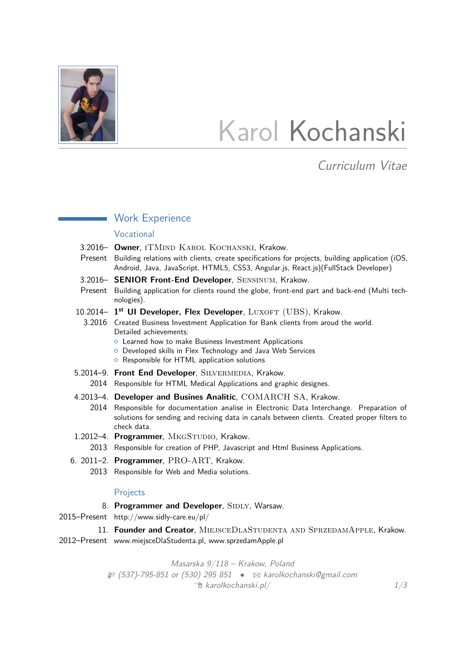

# Karol Kochanski

# Curriculum Vitae

#### **Work Experience**

#### Vocational

- 3.2016– **Owner**, iTMind Karol Kochanski, Krakow.
- Present Building relations with clients, create specifications for projects, building application (iOS, Android, Java, JavaScript, HTML5, CSS3, Angular.js, React.js)(FullStack Developer)
- 3.2016– **SENIOR Front-End Developer**, Sensinum, Krakow.
- Present Building application for clients round the globe, front-end part and back-end (Multi technologies).
- 10.2014- 1<sup>st</sup> UI Developer, Flex Developer, LUXOFT (UBS), Krakow.
	- 3.2016 Created Business Investment Application for Bank clients from aroud the world. Detailed achievements:
		- **o** Learned how to make Business Investment Applications
		- { Developed skills in Flex Technology and Java Web Services
		- { Responsible for HTML application solutions
- 5.2014–9. **Front End Developer**, Silvermedia, Krakow.
	- 2014 Responsible for HTML Medical Applications and graphic designes.
- 4.2013–4. **Developer and Busines Analitic**, COMARCH SA, Krakow.
	- 2014 Responsible for documentation analise in Electronic Data Interchange. Preparation of solutions for sending and reciving data in canals between clients. Created proper filters to check data.
- 1.2012-4. Programmer, MKGSTUDIO, Krakow. 2013 Responsible for creation of PHP, Javascript and Html Business Applications.
- 6. 2011–2. **Programmer**, PRO-ART, Krakow.
	- 2013 Responsible for Web and Media solutions.

#### Projects

8. Programmer and Developer, SIDLY, Warsaw.

2015–Present http://www.sidly-care.eu/pl/

11. Founder and Creator, MIEJSCEDLASTUDENTA AND SPRZEDAMAPPLE, Krakow.

2012–Present www.miejsceDlaStudenta.pl, www.sprzedamApple.pl

Masarska 9/118 – Krakow, Poland  $\mathcal{D}(537)$ -795-851 or (530) 295 851  $\bullet$   $\boxtimes$  [karolkochanski@gmail.com](mailto:karolkochanski@gmail.com)  $\hat{E}$  [karolkochanski.pl/](http://www.karolkochanski.pl)  $1/3$  $1/3$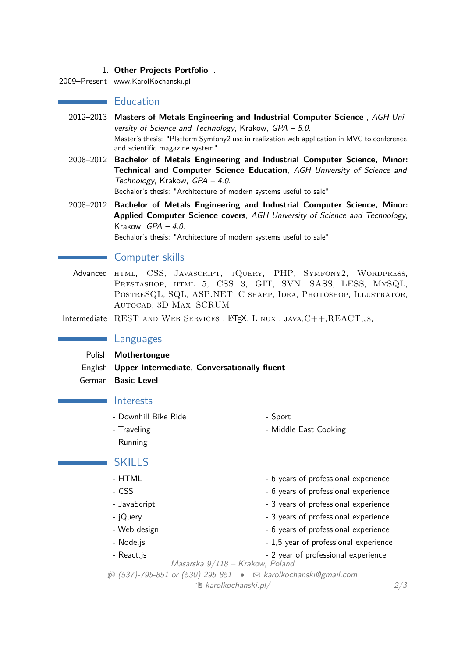#### 1. **Other Projects Portfolio**, .

2009–Present www.KarolKochanski.pl

#### **Education**

- 2012–2013 **Masters of Metals Engineering and Industrial Computer Science** , AGH University of Science and Technology, Krakow, GPA – 5.0. Master's thesis: "Platform Symfony2 use in realization web application in MVC to conference and scientific magazine system"
- 2008–2012 **Bachelor of Metals Engineering and Industrial Computer Science, Minor: Technical and Computer Science Education**, AGH University of Science and Technology, Krakow, GPA – 4.0. Bechalor's thesis: "Architecture of modern systems useful to sale"

2008–2012 **Bachelor of Metals Engineering and Industrial Computer Science, Minor: Applied Computer Science covers**, AGH University of Science and Technology, Krakow, GPA – 4.0.

Bechalor's thesis: "Architecture of modern systems useful to sale"

# Computer skills

Advanced HTML, CSS, JAVASCRIPT, JQUERY, PHP, SYMFONY2, WORDPRESS, Prestashop, html 5, CSS 3, GIT, SVN, SASS, LESS, MySQL, PostreSQL, SQL, ASP.NET, C sharp, Idea, Photoshop, Illustrator, Autocad, 3D Max, SCRUM

Intermediate REST AND WEB SERVICES,  $\triangle F \times$ , LINUX, JAVA,  $C++$ , REACT, Js,

### Languages

Polish **Mothertongue**

English **Upper Intermediate, Conversationally fluent**

German **Basic Level**

#### **Interests**

- Downhill Bike Ride Sport
- Traveling  **Traveling 2008**
- Running

# SKILLS

- HTML  $-$  6 years of professional experience
- CSS 6 years of professional experience
- JavaScript  **3 years of professional experience**
- jQuery interest and the set of professional experience
- 
- 
- Web design  $-$  6 years of professional experience
- Node.js **but all the set of the set of professional experience**
- React.js **2** year of professional experience

Masarska 9/118 – Krakow, Poland

 $\mathcal{D}(537)$ -795-851 or (530) 295 851  $\bullet$   $\boxtimes$  [karolkochanski@gmail.com](mailto:karolkochanski@gmail.com)  $\hat{E}$  [karolkochanski.pl/](http://www.karolkochanski.pl)  $2/3$  $2/3$